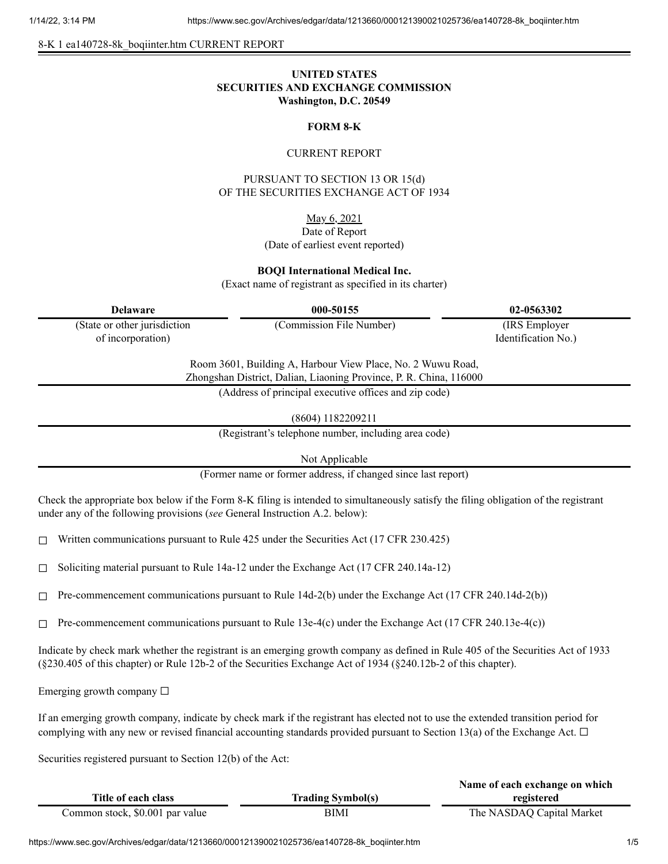8-K 1 ea140728-8k\_boqiinter.htm CURRENT REPORT

# **UNITED STATES SECURITIES AND EXCHANGE COMMISSION Washington, D.C. 20549**

## **FORM 8-K**

#### CURRENT REPORT

PURSUANT TO SECTION 13 OR 15(d) OF THE SECURITIES EXCHANGE ACT OF 1934

May 6, 2021

### Date of Report (Date of earliest event reported)

**BOQI International Medical Inc.**

(Exact name of registrant as specified in its charter)

(State or other jurisdiction of incorporation)

**Delaware 000-50155 02-0563302**

(Commission File Number) (IRS Employer Identification No.)

Room 3601, Building A, Harbour View Place, No. 2 Wuwu Road, Zhongshan District, Dalian, Liaoning Province, P. R. China, 116000

(Address of principal executive offices and zip code)

(8604) 1182209211

(Registrant's telephone number, including area code)

Not Applicable

(Former name or former address, if changed since last report)

Check the appropriate box below if the Form 8-K filing is intended to simultaneously satisfy the filing obligation of the registrant under any of the following provisions (*see* General Instruction A.2. below):

 $\Box$  Written communications pursuant to Rule 425 under the Securities Act (17 CFR 230.425)

 $\Box$  Soliciting material pursuant to Rule 14a-12 under the Exchange Act (17 CFR 240.14a-12)

 $\Box$  Pre-commencement communications pursuant to Rule 14d-2(b) under the Exchange Act (17 CFR 240.14d-2(b))

 $\Box$  Pre-commencement communications pursuant to Rule 13e-4(c) under the Exchange Act (17 CFR 240.13e-4(c))

Indicate by check mark whether the registrant is an emerging growth company as defined in Rule 405 of the Securities Act of 1933 (§230.405 of this chapter) or Rule 12b-2 of the Securities Exchange Act of 1934 (§240.12b-2 of this chapter).

Emerging growth company  $\Box$ 

If an emerging growth company, indicate by check mark if the registrant has elected not to use the extended transition period for complying with any new or revised financial accounting standards provided pursuant to Section 13(a) of the Exchange Act.  $\Box$ 

Securities registered pursuant to Section 12(b) of the Act:

|                                 |                          | Name of each exchange on which |
|---------------------------------|--------------------------|--------------------------------|
| Title of each class             | <b>Trading Symbol(s)</b> | registered                     |
| Common stock, \$0.001 par value | BIMI                     | The NASDAQ Capital Market      |

https://www.sec.gov/Archives/edgar/data/1213660/000121390021025736/ea140728-8k\_boqiinter.htm 1/5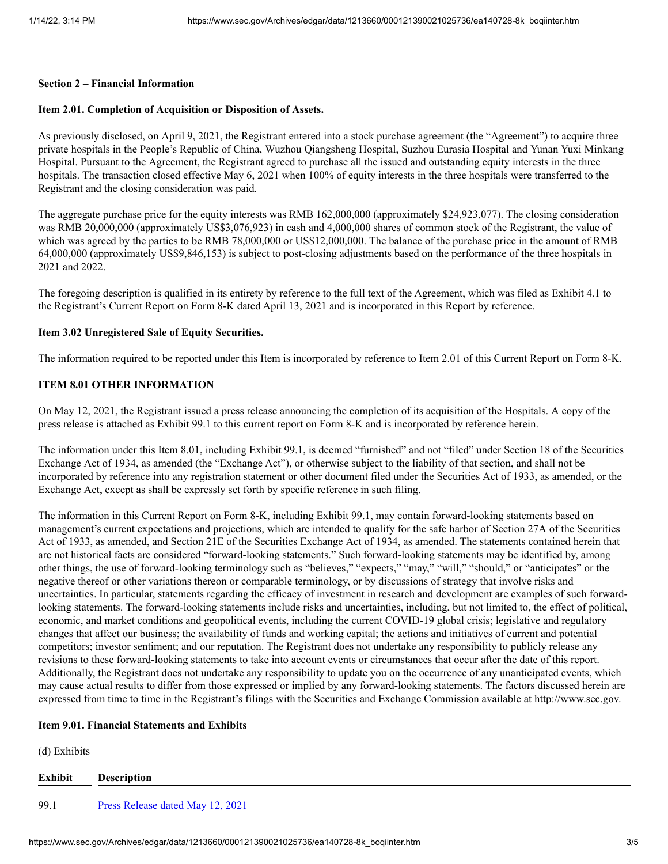### **Section 2 – Financial Information**

#### **Item 2.01. Completion of Acquisition or Disposition of Assets.**

As previously disclosed, on April 9, 2021, the Registrant entered into a stock purchase agreement (the "Agreement") to acquire three private hospitals in the People's Republic of China, Wuzhou Qiangsheng Hospital, Suzhou Eurasia Hospital and Yunan Yuxi Minkang Hospital. Pursuant to the Agreement, the Registrant agreed to purchase all the issued and outstanding equity interests in the three hospitals. The transaction closed effective May 6, 2021 when 100% of equity interests in the three hospitals were transferred to the Registrant and the closing consideration was paid.

The aggregate purchase price for the equity interests was RMB 162,000,000 (approximately \$24,923,077). The closing consideration was RMB 20,000,000 (approximately US\$3,076,923) in cash and 4,000,000 shares of common stock of the Registrant, the value of which was agreed by the parties to be RMB 78,000,000 or US\$12,000,000. The balance of the purchase price in the amount of RMB 64,000,000 (approximately US\$9,846,153) is subject to post-closing adjustments based on the performance of the three hospitals in 2021 and 2022.

The foregoing description is qualified in its entirety by reference to the full text of the Agreement, which was filed as Exhibit 4.1 to the Registrant's Current Report on Form 8-K dated April 13, 2021 and is incorporated in this Report by reference.

#### **Item 3.02 Unregistered Sale of Equity Securities.**

The information required to be reported under this Item is incorporated by reference to Item 2.01 of this Current Report on Form 8-K.

## **ITEM 8.01 OTHER INFORMATION**

On May 12, 2021, the Registrant issued a press release announcing the completion of its acquisition of the Hospitals. A copy of the press release is attached as Exhibit 99.1 to this current report on Form 8-K and is incorporated by reference herein.

The information under this Item 8.01, including Exhibit 99.1, is deemed "furnished" and not "filed" under Section 18 of the Securities Exchange Act of 1934, as amended (the "Exchange Act"), or otherwise subject to the liability of that section, and shall not be incorporated by reference into any registration statement or other document filed under the Securities Act of 1933, as amended, or the Exchange Act, except as shall be expressly set forth by specific reference in such filing.

The information in this Current Report on Form 8-K, including Exhibit 99.1, may contain forward-looking statements based on management's current expectations and projections, which are intended to qualify for the safe harbor of Section 27A of the Securities Act of 1933, as amended, and Section 21E of the Securities Exchange Act of 1934, as amended. The statements contained herein that are not historical facts are considered "forward-looking statements." Such forward-looking statements may be identified by, among other things, the use of forward-looking terminology such as "believes," "expects," "may," "will," "should," or "anticipates" or the negative thereof or other variations thereon or comparable terminology, or by discussions of strategy that involve risks and uncertainties. In particular, statements regarding the efficacy of investment in research and development are examples of such forwardlooking statements. The forward-looking statements include risks and uncertainties, including, but not limited to, the effect of political, economic, and market conditions and geopolitical events, including the current COVID-19 global crisis; legislative and regulatory changes that affect our business; the availability of funds and working capital; the actions and initiatives of current and potential competitors; investor sentiment; and our reputation. The Registrant does not undertake any responsibility to publicly release any revisions to these forward-looking statements to take into account events or circumstances that occur after the date of this report. Additionally, the Registrant does not undertake any responsibility to update you on the occurrence of any unanticipated events, which may cause actual results to differ from those expressed or implied by any forward-looking statements. The factors discussed herein are expressed from time to time in the Registrant's filings with the Securities and Exchange Commission available at http://www.sec.gov.

#### **Item 9.01. Financial Statements and Exhibits**

(d) Exhibits **Exhibit Description** 99.1 Press [Release](https://www.sec.gov/Archives/edgar/data/1213660/000121390021025736/ea140728ex99-1_boqiinter.htm) dated May 12, 2021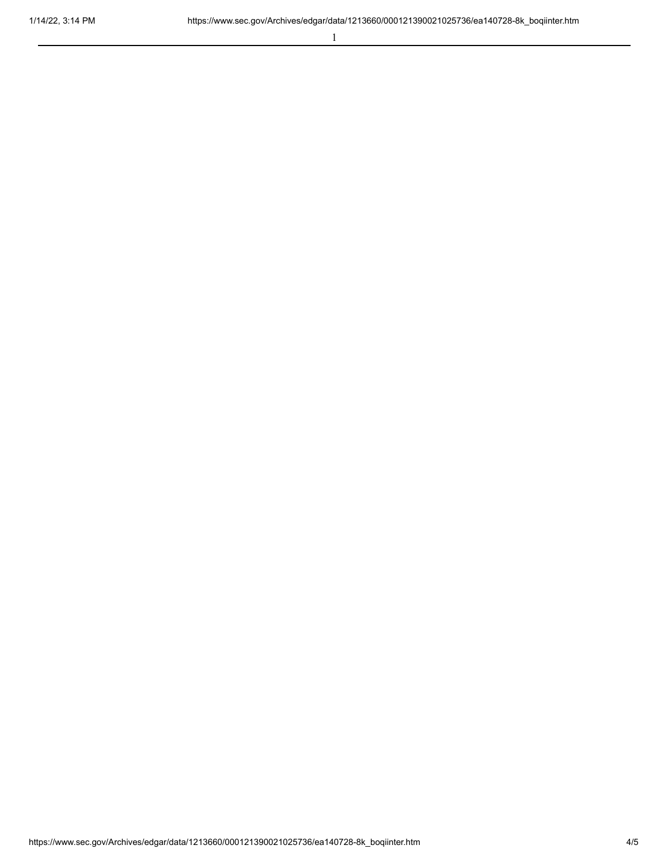1